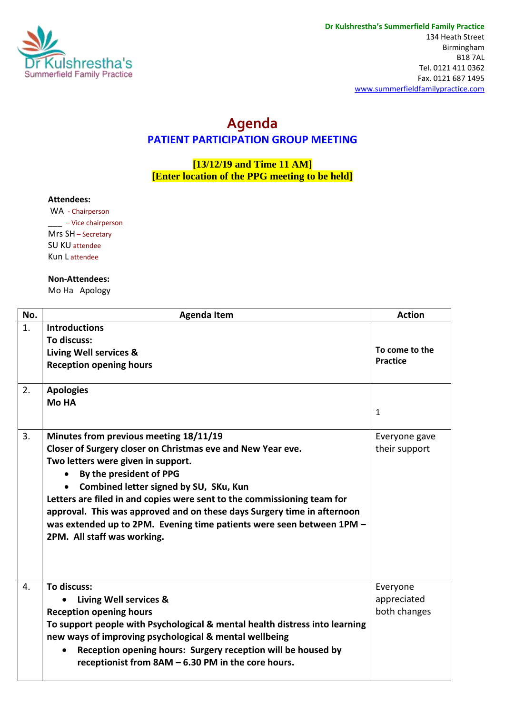

## **Agenda PATIENT PARTICIPATION GROUP MEETING**

**[13/12/19 and Time 11 AM] [Enter location of the PPG meeting to be held]**

## **Attendees:**

WA - Chairperson \_\_\_ – Vice chairperson Mrs SH – Secretary SU KU attendee Kun L attendee

## **Non-Attendees:**

Mo Ha Apology

| No. | <b>Agenda Item</b>                                                                                                                                                                                                                                                                                                                                                                                                                                                                                       | <b>Action</b>                           |
|-----|----------------------------------------------------------------------------------------------------------------------------------------------------------------------------------------------------------------------------------------------------------------------------------------------------------------------------------------------------------------------------------------------------------------------------------------------------------------------------------------------------------|-----------------------------------------|
| 1.  | <b>Introductions</b><br>To discuss:<br><b>Living Well services &amp;</b><br><b>Reception opening hours</b>                                                                                                                                                                                                                                                                                                                                                                                               | To come to the<br><b>Practice</b>       |
| 2.  | <b>Apologies</b><br><b>Mo HA</b>                                                                                                                                                                                                                                                                                                                                                                                                                                                                         | $\mathbf{1}$                            |
| 3.  | Minutes from previous meeting 18/11/19<br>Closer of Surgery closer on Christmas eve and New Year eve.<br>Two letters were given in support.<br>By the president of PPG<br>$\bullet$<br>Combined letter signed by SU, SKu, Kun<br>$\bullet$<br>Letters are filed in and copies were sent to the commissioning team for<br>approval. This was approved and on these days Surgery time in afternoon<br>was extended up to 2PM. Evening time patients were seen between 1PM -<br>2PM. All staff was working. | Everyone gave<br>their support          |
| 4.  | To discuss:<br>Living Well services &<br><b>Reception opening hours</b><br>To support people with Psychological & mental health distress into learning<br>new ways of improving psychological & mental wellbeing<br>Reception opening hours: Surgery reception will be housed by<br>receptionist from 8AM - 6.30 PM in the core hours.                                                                                                                                                                   | Everyone<br>appreciated<br>both changes |